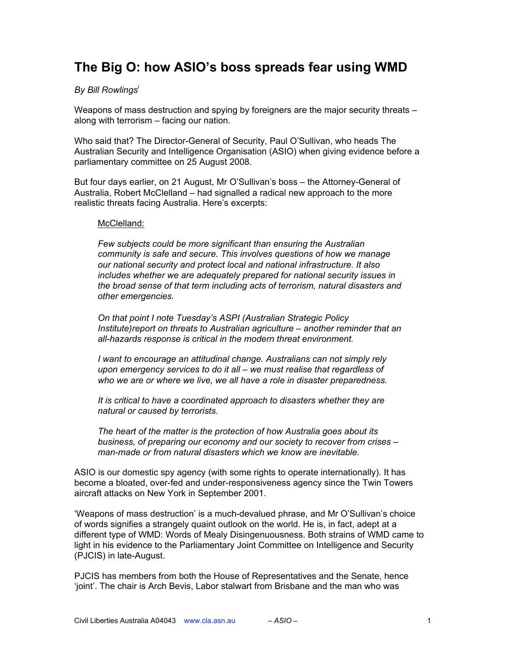# **The Big O: how ASIO's boss spreads fear using WMD**

## *By Bill Rowlingsi*

Weapons of mass destruction and spying by foreigners are the major security threats – along with terrorism – facing our nation.

Who said that? The Director-General of Security, Paul O'Sullivan, who heads The Australian Security and Intelligence Organisation (ASIO) when giving evidence before a parliamentary committee on 25 August 2008.

But four days earlier, on 21 August, Mr O'Sullivan's boss – the Attorney-General of Australia, Robert McClelland – had signalled a radical new approach to the more realistic threats facing Australia. Here's excerpts:

#### McClelland:

*Few subjects could be more significant than ensuring the Australian community is safe and secure. This involves questions of how we manage our national security and protect local and national infrastructure. It also includes whether we are adequately prepared for national security issues in the broad sense of that term including acts of terrorism, natural disasters and other emergencies.*

*On that point I note Tuesday's ASPI (Australian Strategic Policy Institute)report on threats to Australian agriculture – another reminder that an all-hazards response is critical in the modern threat environment.*

*I want to encourage an attitudinal change. Australians can not simply rely upon emergency services to do it all – we must realise that regardless of who we are or where we live, we all have a role in disaster preparedness.*

*It is critical to have a coordinated approach to disasters whether they are natural or caused by terrorists.*

*The heart of the matter is the protection of how Australia goes about its business, of preparing our economy and our society to recover from crises – man-made or from natural disasters which we know are inevitable.*

ASIO is our domestic spy agency (with some rights to operate internationally). It has become a bloated, over-fed and under-responsiveness agency since the Twin Towers aircraft attacks on New York in September 2001.

'Weapons of mass destruction' is a much-devalued phrase, and Mr O'Sullivan's choice of words signifies a strangely quaint outlook on the world. He is, in fact, adept at a different type of WMD: Words of Mealy Disingenuousness. Both strains of WMD came to light in his evidence to the Parliamentary Joint Committee on Intelligence and Security (PJCIS) in late-August.

PJCIS has members from both the House of Representatives and the Senate, hence 'joint'. The chair is Arch Bevis, Labor stalwart from Brisbane and the man who was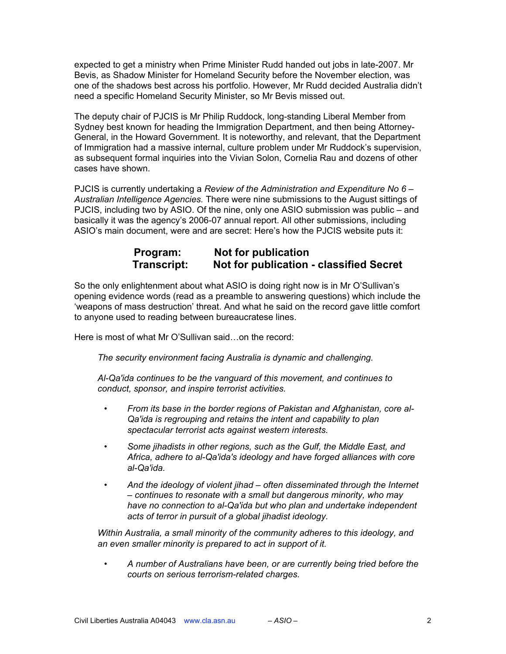expected to get a ministry when Prime Minister Rudd handed out jobs in late-2007. Mr Bevis, as Shadow Minister for Homeland Security before the November election, was one of the shadows best across his portfolio. However, Mr Rudd decided Australia didn't need a specific Homeland Security Minister, so Mr Bevis missed out.

The deputy chair of PJCIS is Mr Philip Ruddock, long-standing Liberal Member from Sydney best known for heading the Immigration Department, and then being Attorney-General, in the Howard Government. It is noteworthy, and relevant, that the Department of Immigration had a massive internal, culture problem under Mr Ruddock's supervision, as subsequent formal inquiries into the Vivian Solon, Cornelia Rau and dozens of other cases have shown.

PJCIS is currently undertaking a *Review of the Administration and Expenditure No 6 – Australian Intelligence Agencies.* There were nine submissions to the August sittings of PJCIS, including two by ASIO. Of the nine, only one ASIO submission was public – and basically it was the agency's 2006-07 annual report. All other submissions, including ASIO's main document, were and are secret: Here's how the PJCIS website puts it:

## **Program:** Not for publication<br>Transcript: Not for publication **Not for publication - classified Secret**

So the only enlightenment about what ASIO is doing right now is in Mr O'Sullivan's opening evidence words (read as a preamble to answering questions) which include the 'weapons of mass destruction' threat. And what he said on the record gave little comfort to anyone used to reading between bureaucratese lines.

Here is most of what Mr O'Sullivan said…on the record:

*The security environment facing Australia is dynamic and challenging.*

*Al-Qa'ida continues to be the vanguard of this movement, and continues to conduct, sponsor, and inspire terrorist activities.*

- *• From its base in the border regions of Pakistan and Afghanistan, core al-Qa'ida is regrouping and retains the intent and capability to plan spectacular terrorist acts against western interests.*
- *• Some jihadists in other regions, such as the Gulf, the Middle East, and Africa, adhere to al-Qa'ida's ideology and have forged alliances with core al-Qa'ida.*
- *• And the ideology of violent jihad often disseminated through the Internet – continues to resonate with a small but dangerous minority, who may have no connection to al-Qa'ida but who plan and undertake independent acts of terror in pursuit of a global jihadist ideology.*

*Within Australia, a small minority of the community adheres to this ideology, and an even smaller minority is prepared to act in support of it.*

*• A number of Australians have been, or are currently being tried before the courts on serious terrorism-related charges.*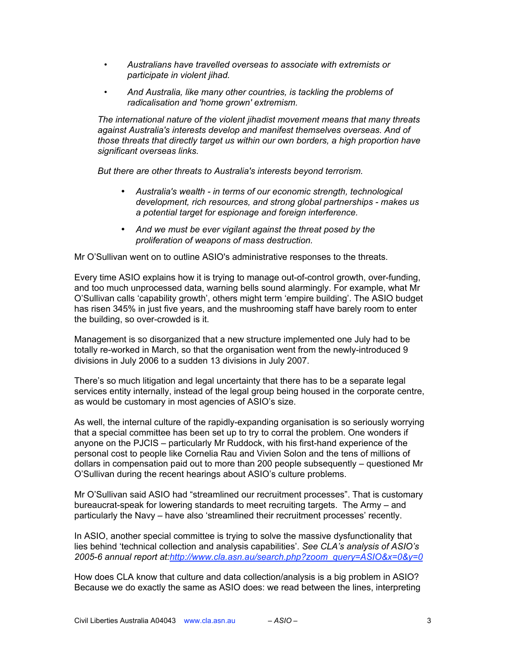- *• Australians have travelled overseas to associate with extremists or participate in violent jihad.*
- *• And Australia, like many other countries, is tackling the problems of radicalisation and 'home grown' extremism.*

*The international nature of the violent jihadist movement means that many threats against Australia's interests develop and manifest themselves overseas. And of those threats that directly target us within our own borders, a high proportion have significant overseas links.*

*But there are other threats to Australia's interests beyond terrorism.*

- *Australia's wealth in terms of our economic strength, technological development, rich resources, and strong global partnerships - makes us a potential target for espionage and foreign interference.*
- *And we must be ever vigilant against the threat posed by the proliferation of weapons of mass destruction.*

Mr O'Sullivan went on to outline ASIO's administrative responses to the threats.

Every time ASIO explains how it is trying to manage out-of-control growth, over-funding, and too much unprocessed data, warning bells sound alarmingly. For example, what Mr O'Sullivan calls 'capability growth', others might term 'empire building'. The ASIO budget has risen 345% in just five years, and the mushrooming staff have barely room to enter the building, so over-crowded is it.

Management is so disorganized that a new structure implemented one July had to be totally re-worked in March, so that the organisation went from the newly-introduced 9 divisions in July 2006 to a sudden 13 divisions in July 2007.

There's so much litigation and legal uncertainty that there has to be a separate legal services entity internally, instead of the legal group being housed in the corporate centre, as would be customary in most agencies of ASIO's size.

As well, the internal culture of the rapidly-expanding organisation is so seriously worrying that a special committee has been set up to try to corral the problem. One wonders if anyone on the PJCIS – particularly Mr Ruddock, with his first-hand experience of the personal cost to people like Cornelia Rau and Vivien Solon and the tens of millions of dollars in compensation paid out to more than 200 people subsequently – questioned Mr O'Sullivan during the recent hearings about ASIO's culture problems.

Mr O'Sullivan said ASIO had "streamlined our recruitment processes". That is customary bureaucrat-speak for lowering standards to meet recruiting targets. The Army – and particularly the Navy – have also 'streamlined their recruitment processes' recently.

In ASIO, another special committee is trying to solve the massive dysfunctionality that lies behind 'technical collection and analysis capabilities'. *See CLA's analysis of ASIO's 2005-6 annual report at:http://www.cla.asn.au/search.php?zoom\_query=ASIO&x=0&y=0*

How does CLA know that culture and data collection/analysis is a big problem in ASIO? Because we do exactly the same as ASIO does: we read between the lines, interpreting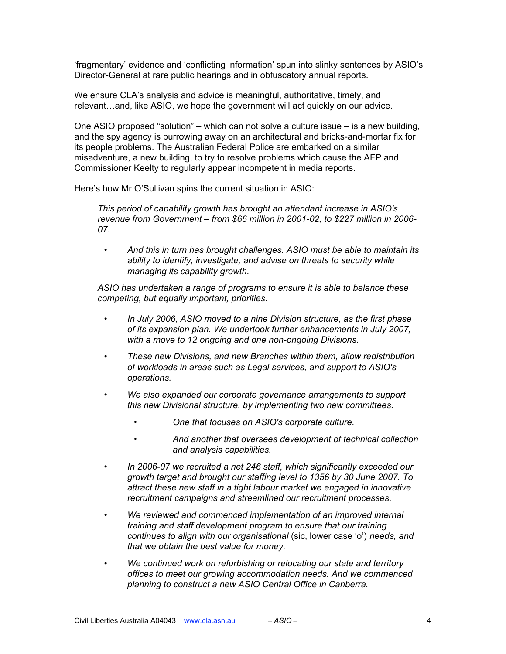'fragmentary' evidence and 'conflicting information' spun into slinky sentences by ASIO's Director-General at rare public hearings and in obfuscatory annual reports.

We ensure CLA's analysis and advice is meaningful, authoritative, timely, and relevant…and, like ASIO, we hope the government will act quickly on our advice.

One ASIO proposed "solution" – which can not solve a culture issue – is a new building, and the spy agency is burrowing away on an architectural and bricks-and-mortar fix for its people problems. The Australian Federal Police are embarked on a similar misadventure, a new building, to try to resolve problems which cause the AFP and Commissioner Keelty to regularly appear incompetent in media reports.

Here's how Mr O'Sullivan spins the current situation in ASIO:

*This period of capability growth has brought an attendant increase in ASIO's revenue from Government – from \$66 million in 2001-02, to \$227 million in 2006- 07.*

*• And this in turn has brought challenges. ASIO must be able to maintain its ability to identify, investigate, and advise on threats to security while managing its capability growth.*

*ASIO has undertaken a range of programs to ensure it is able to balance these competing, but equally important, priorities.*

- *• In July 2006, ASIO moved to a nine Division structure, as the first phase of its expansion plan. We undertook further enhancements in July 2007, with a move to 12 ongoing and one non-ongoing Divisions.*
- *• These new Divisions, and new Branches within them, allow redistribution of workloads in areas such as Legal services, and support to ASIO's operations.*
- *• We also expanded our corporate governance arrangements to support this new Divisional structure, by implementing two new committees.*
	- *• One that focuses on ASIO's corporate culture.*
	- *• And another that oversees development of technical collection and analysis capabilities.*
- *• In 2006-07 we recruited a net 246 staff, which significantly exceeded our growth target and brought our staffing level to 1356 by 30 June 2007. To attract these new staff in a tight labour market we engaged in innovative recruitment campaigns and streamlined our recruitment processes.*
- *• We reviewed and commenced implementation of an improved internal training and staff development program to ensure that our training continues to align with our organisational* (sic, lower case 'o') *needs, and that we obtain the best value for money.*
- *• We continued work on refurbishing or relocating our state and territory offices to meet our growing accommodation needs. And we commenced planning to construct a new ASIO Central Office in Canberra.*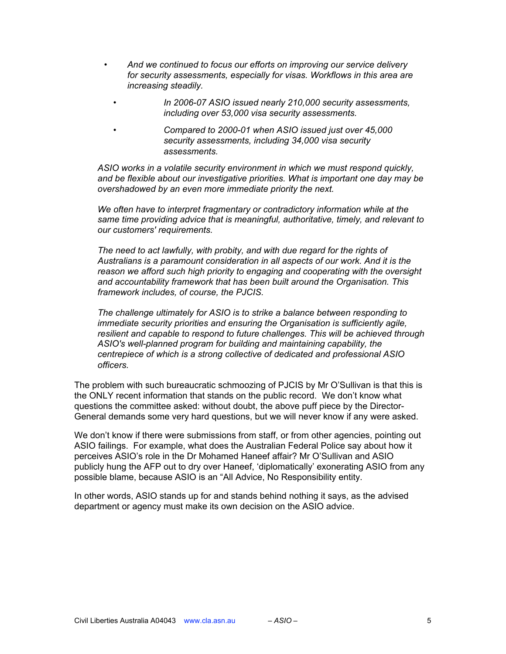- *• And we continued to focus our efforts on improving our service delivery for security assessments, especially for visas. Workflows in this area are increasing steadily.*
	- *• In 2006-07 ASIO issued nearly 210,000 security assessments, including over 53,000 visa security assessments.*
		- *• Compared to 2000-01 when ASIO issued just over 45,000 security assessments, including 34,000 visa security assessments.*

*ASIO works in a volatile security environment in which we must respond quickly, and be flexible about our investigative priorities. What is important one day may be overshadowed by an even more immediate priority the next.*

*We often have to interpret fragmentary or contradictory information while at the same time providing advice that is meaningful, authoritative, timely, and relevant to our customers' requirements.*

*The need to act lawfully, with probity, and with due regard for the rights of Australians is a paramount consideration in all aspects of our work. And it is the reason we afford such high priority to engaging and cooperating with the oversight and accountability framework that has been built around the Organisation. This framework includes, of course, the PJCIS.*

*The challenge ultimately for ASIO is to strike a balance between responding to immediate security priorities and ensuring the Organisation is sufficiently agile, resilient and capable to respond to future challenges. This will be achieved through ASIO's well-planned program for building and maintaining capability, the centrepiece of which is a strong collective of dedicated and professional ASIO officers.*

The problem with such bureaucratic schmoozing of PJCIS by Mr O'Sullivan is that this is the ONLY recent information that stands on the public record. We don't know what questions the committee asked: without doubt, the above puff piece by the Director-General demands some very hard questions, but we will never know if any were asked.

We don't know if there were submissions from staff, or from other agencies, pointing out ASIO failings. For example, what does the Australian Federal Police say about how it perceives ASIO's role in the Dr Mohamed Haneef affair? Mr O'Sullivan and ASIO publicly hung the AFP out to dry over Haneef, 'diplomatically' exonerating ASIO from any possible blame, because ASIO is an "All Advice, No Responsibility entity.

In other words, ASIO stands up for and stands behind nothing it says, as the advised department or agency must make its own decision on the ASIO advice.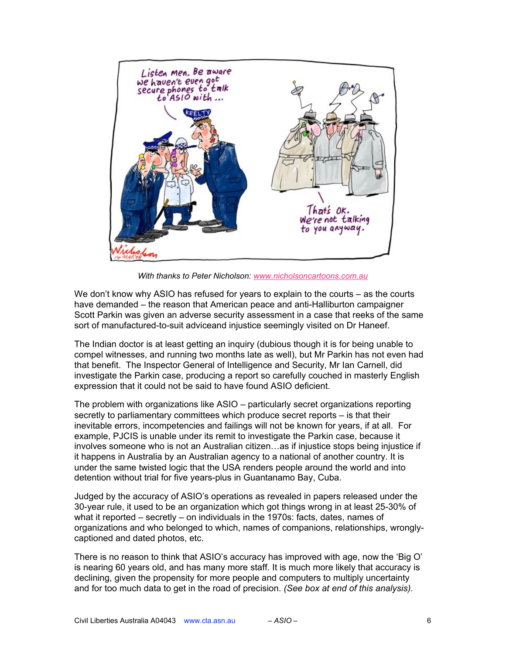

*With thanks to Peter Nicholson: www.nicholsoncartoons.com.au*

We don't know why ASIO has refused for years to explain to the courts – as the courts have demanded – the reason that American peace and anti-Halliburton campaigner Scott Parkin was given an adverse security assessment in a case that reeks of the same sort of manufactured-to-suit adviceand injustice seemingly visited on Dr Haneef.

The Indian doctor is at least getting an inquiry (dubious though it is for being unable to compel witnesses, and running two months late as well), but Mr Parkin has not even had that benefit. The Inspector General of Intelligence and Security, Mr Ian Carnell, did investigate the Parkin case, producing a report so carefully couched in masterly English expression that it could not be said to have found ASIO deficient.

The problem with organizations like ASIO – particularly secret organizations reporting secretly to parliamentary committees which produce secret reports – is that their inevitable errors, incompetencies and failings will not be known for years, if at all. For example, PJCIS is unable under its remit to investigate the Parkin case, because it involves someone who is not an Australian citizen…as if injustice stops being injustice if it happens in Australia by an Australian agency to a national of another country. It is under the same twisted logic that the USA renders people around the world and into detention without trial for five years-plus in Guantanamo Bay, Cuba.

Judged by the accuracy of ASIO's operations as revealed in papers released under the 30-year rule, it used to be an organization which got things wrong in at least 25-30% of what it reported – secretly – on individuals in the 1970s: facts, dates, names of organizations and who belonged to which, names of companions, relationships, wronglycaptioned and dated photos, etc.

There is no reason to think that ASIO's accuracy has improved with age, now the 'Big O' is nearing 60 years old, and has many more staff. It is much more likely that accuracy is declining, given the propensity for more people and computers to multiply uncertainty and for too much data to get in the road of precision. *(See box at end of this analysis).*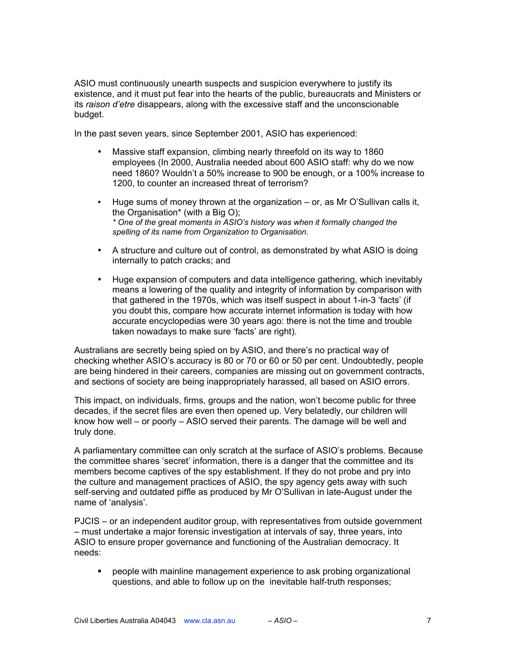ASIO must continuously unearth suspects and suspicion everywhere to justify its existence, and it must put fear into the hearts of the public, bureaucrats and Ministers or its *raison d'etre* disappears, along with the excessive staff and the unconscionable budget.

In the past seven years, since September 2001, ASIO has experienced:

- Massive staff expansion, climbing nearly threefold on its way to 1860 employees (In 2000, Australia needed about 600 ASIO staff: why do we now need 1860? Wouldn't a 50% increase to 900 be enough, or a 100% increase to 1200, to counter an increased threat of terrorism?
- Huge sums of money thrown at the organization or, as Mr O'Sullivan calls it, the Organisation\* (with a Big O); *\* One of the great moments in ASIO's history was when it formally changed the spelling of its name from Organization to Organisation.*
- A structure and culture out of control, as demonstrated by what ASIO is doing internally to patch cracks; and
- Huge expansion of computers and data intelligence gathering, which inevitably means a lowering of the quality and integrity of information by comparison with that gathered in the 1970s, which was itself suspect in about 1-in-3 'facts' (if you doubt this, compare how accurate internet information is today with how accurate encyclopedias were 30 years ago: there is not the time and trouble taken nowadays to make sure 'facts' are right).

Australians are secretly being spied on by ASIO, and there's no practical way of checking whether ASIO's accuracy is 80 or 70 or 60 or 50 per cent. Undoubtedly, people are being hindered in their careers, companies are missing out on government contracts, and sections of society are being inappropriately harassed, all based on ASIO errors.

This impact, on individuals, firms, groups and the nation, won't become public for three decades, if the secret files are even then opened up. Very belatedly, our children will know how well – or poorly – ASIO served their parents. The damage will be well and truly done.

A parliamentary committee can only scratch at the surface of ASIO's problems. Because the committee shares 'secret' information, there is a danger that the committee and its members become captives of the spy establishment. If they do not probe and pry into the culture and management practices of ASIO, the spy agency gets away with such self-serving and outdated piffle as produced by Mr O'Sullivan in late-August under the name of 'analysis'.

PJCIS – or an independent auditor group, with representatives from outside government – must undertake a major forensic investigation at intervals of say, three years, into ASIO to ensure proper governance and functioning of the Australian democracy. It needs:

 people with mainline management experience to ask probing organizational questions, and able to follow up on the inevitable half-truth responses;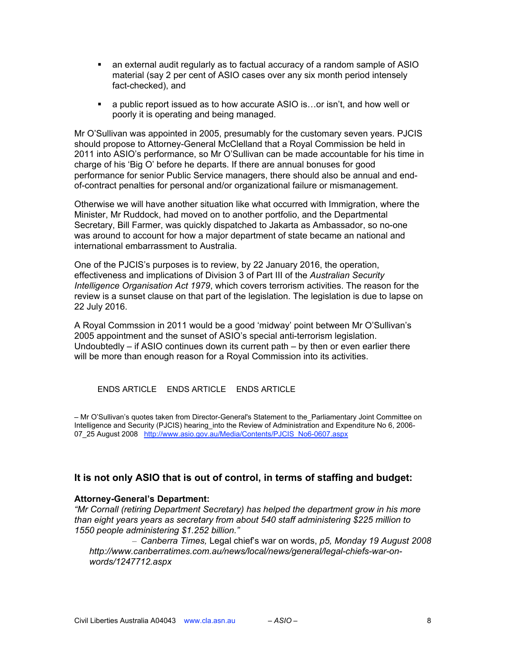- an external audit regularly as to factual accuracy of a random sample of ASIO material (say 2 per cent of ASIO cases over any six month period intensely fact-checked), and
- a public report issued as to how accurate ASIO is…or isn't, and how well or poorly it is operating and being managed.

Mr O'Sullivan was appointed in 2005, presumably for the customary seven years. PJCIS should propose to Attorney-General McClelland that a Royal Commission be held in 2011 into ASIO's performance, so Mr O'Sullivan can be made accountable for his time in charge of his 'Big O' before he departs. If there are annual bonuses for good performance for senior Public Service managers, there should also be annual and endof-contract penalties for personal and/or organizational failure or mismanagement.

Otherwise we will have another situation like what occurred with Immigration, where the Minister, Mr Ruddock, had moved on to another portfolio, and the Departmental Secretary, Bill Farmer, was quickly dispatched to Jakarta as Ambassador, so no-one was around to account for how a major department of state became an national and international embarrassment to Australia.

One of the PJCIS's purposes is to review, by 22 January 2016, the operation, effectiveness and implications of Division 3 of Part III of the *Australian Security Intelligence Organisation Act 1979*, which covers terrorism activities. The reason for the review is a sunset clause on that part of the legislation. The legislation is due to lapse on 22 July 2016.

A Royal Commssion in 2011 would be a good 'midway' point between Mr O'Sullivan's 2005 appointment and the sunset of ASIO's special anti-terrorism legislation. Undoubtedly – if ASIO continues down its current path – by then or even earlier there will be more than enough reason for a Royal Commission into its activities.

ENDS ARTICLE ENDS ARTICLE ENDS ARTICLE

– Mr O'Sullivan's quotes taken from Director-General's Statement to the\_Parliamentary Joint Committee on Intelligence and Security (PJCIS) hearing into the Review of Administration and Expenditure No 6, 2006-07 25 August 2008 http://www.asio.gov.au/Media/Contents/PJCIS\_No6-0607.aspx

## **It is not only ASIO that is out of control, in terms of staffing and budget:**

## **Attorney-General's Department:**

*"Mr Cornall (retiring Department Secretary) has helped the department grow in his more than eight years years as secretary from about 540 staff administering \$225 million to 1550 people administering \$1.252 billion."*

– *Canberra Times,* Legal chief's war on words, *p5, Monday 19 August 2008 http://www.canberratimes.com.au/news/local/news/general/legal-chiefs-war-onwords/1247712.aspx*